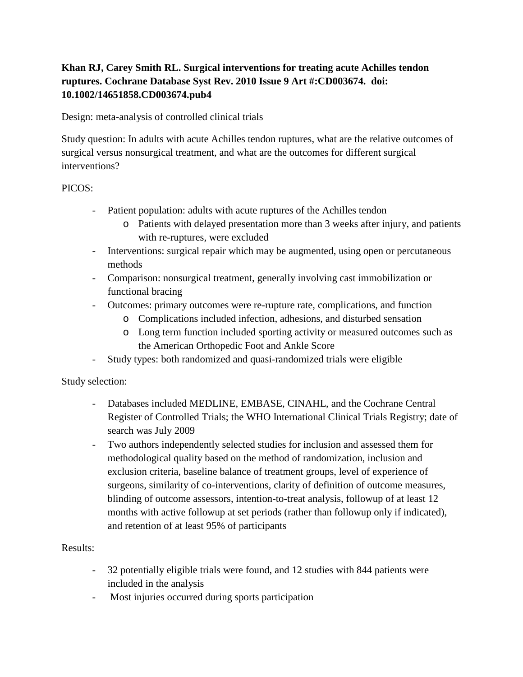## **Khan RJ, Carey Smith RL. Surgical interventions for treating acute Achilles tendon ruptures. Cochrane Database Syst Rev. 2010 Issue 9 Art #:CD003674. doi: 10.1002/14651858.CD003674.pub4**

Design: meta-analysis of controlled clinical trials

Study question: In adults with acute Achilles tendon ruptures, what are the relative outcomes of surgical versus nonsurgical treatment, and what are the outcomes for different surgical interventions?

## PICOS:

- Patient population: adults with acute ruptures of the Achilles tendon
	- o Patients with delayed presentation more than 3 weeks after injury, and patients with re-ruptures, were excluded
- Interventions: surgical repair which may be augmented, using open or percutaneous methods
- Comparison: nonsurgical treatment, generally involving cast immobilization or functional bracing
- Outcomes: primary outcomes were re-rupture rate, complications, and function
	- o Complications included infection, adhesions, and disturbed sensation
	- o Long term function included sporting activity or measured outcomes such as the American Orthopedic Foot and Ankle Score
- Study types: both randomized and quasi-randomized trials were eligible

Study selection:

- Databases included MEDLINE, EMBASE, CINAHL, and the Cochrane Central Register of Controlled Trials; the WHO International Clinical Trials Registry; date of search was July 2009
- Two authors independently selected studies for inclusion and assessed them for methodological quality based on the method of randomization, inclusion and exclusion criteria, baseline balance of treatment groups, level of experience of surgeons, similarity of co-interventions, clarity of definition of outcome measures, blinding of outcome assessors, intention-to-treat analysis, followup of at least 12 months with active followup at set periods (rather than followup only if indicated), and retention of at least 95% of participants

## Results:

- 32 potentially eligible trials were found, and 12 studies with 844 patients were included in the analysis
- Most injuries occurred during sports participation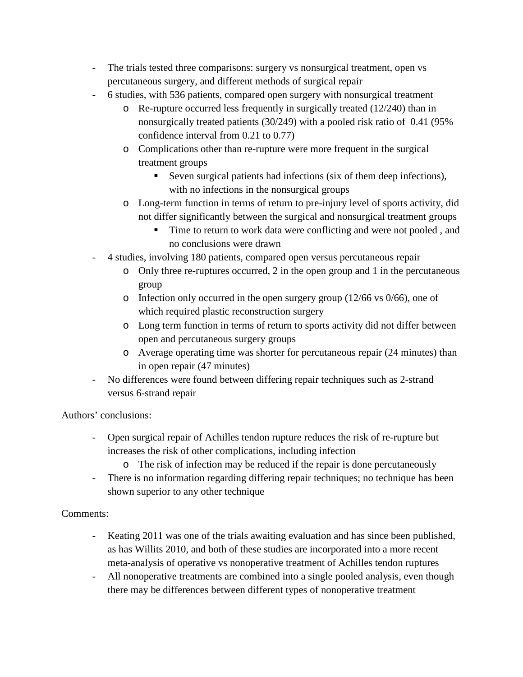- The trials tested three comparisons: surgery vs nonsurgical treatment, open vs percutaneous surgery, and different methods of surgical repair
- 6 studies, with 536 patients, compared open surgery with nonsurgical treatment
	- o Re-rupture occurred less frequently in surgically treated (12/240) than in nonsurgically treated patients (30/249) with a pooled risk ratio of 0.41 (95% confidence interval from 0.21 to 0.77)
	- o Complications other than re-rupture were more frequent in the surgical treatment groups
		- Seven surgical patients had infections (six of them deep infections), with no infections in the nonsurgical groups
	- o Long-term function in terms of return to pre-injury level of sports activity, did not differ significantly between the surgical and nonsurgical treatment groups
		- Time to return to work data were conflicting and were not pooled, and no conclusions were drawn
- 4 studies, involving 180 patients, compared open versus percutaneous repair
	- o Only three re-ruptures occurred, 2 in the open group and 1 in the percutaneous group
	- o Infection only occurred in the open surgery group (12/66 vs 0/66), one of which required plastic reconstruction surgery
	- o Long term function in terms of return to sports activity did not differ between open and percutaneous surgery groups
	- o Average operating time was shorter for percutaneous repair (24 minutes) than in open repair (47 minutes)
- No differences were found between differing repair techniques such as 2-strand versus 6-strand repair

Authors' conclusions:

- Open surgical repair of Achilles tendon rupture reduces the risk of re-rupture but increases the risk of other complications, including infection
	- o The risk of infection may be reduced if the repair is done percutaneously
- There is no information regarding differing repair techniques; no technique has been shown superior to any other technique

## Comments:

- Keating 2011 was one of the trials awaiting evaluation and has since been published, as has Willits 2010, and both of these studies are incorporated into a more recent meta-analysis of operative vs nonoperative treatment of Achilles tendon ruptures
- All nonoperative treatments are combined into a single pooled analysis, even though there may be differences between different types of nonoperative treatment